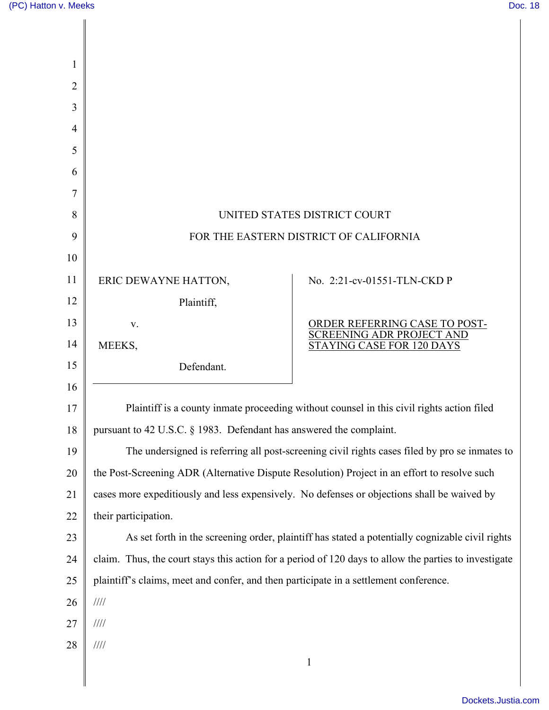| UNITED STATES DISTRICT COURT<br>8                                                                   |                                                                                                       |
|-----------------------------------------------------------------------------------------------------|-------------------------------------------------------------------------------------------------------|
| FOR THE EASTERN DISTRICT OF CALIFORNIA<br>9                                                         |                                                                                                       |
|                                                                                                     |                                                                                                       |
| ERIC DEWAYNE HATTON,                                                                                | No. 2:21-cv-01551-TLN-CKD P                                                                           |
| Plaintiff,                                                                                          |                                                                                                       |
| V.                                                                                                  | ORDER REFERRING CASE TO POST-                                                                         |
| MEEKS,                                                                                              | <b>SCREENING ADR PROJECT AND</b><br>STAYING CASE FOR 120 DAYS                                         |
| Defendant.                                                                                          |                                                                                                       |
|                                                                                                     |                                                                                                       |
| Plaintiff is a county inmate proceeding without counsel in this civil rights action filed<br>17     |                                                                                                       |
| pursuant to 42 U.S.C. § 1983. Defendant has answered the complaint.<br>18                           |                                                                                                       |
| The undersigned is referring all post-screening civil rights cases filed by pro se inmates to<br>19 |                                                                                                       |
| the Post-Screening ADR (Alternative Dispute Resolution) Project in an effort to resolve such<br>20  |                                                                                                       |
|                                                                                                     | cases more expeditiously and less expensively. No defenses or objections shall be waived by           |
| their participation.                                                                                |                                                                                                       |
|                                                                                                     | As set forth in the screening order, plaintiff has stated a potentially cognizable civil rights       |
|                                                                                                     | claim. Thus, the court stays this action for a period of 120 days to allow the parties to investigate |
| plaintiff's claims, meet and confer, and then participate in a settlement conference.               |                                                                                                       |
| $/ \! / \! / \! / \! /$                                                                             |                                                                                                       |
| 1111                                                                                                |                                                                                                       |
| $/ \! / \! / \! / \! /$                                                                             | $\mathbf{1}$                                                                                          |
|                                                                                                     |                                                                                                       |
|                                                                                                     |                                                                                                       |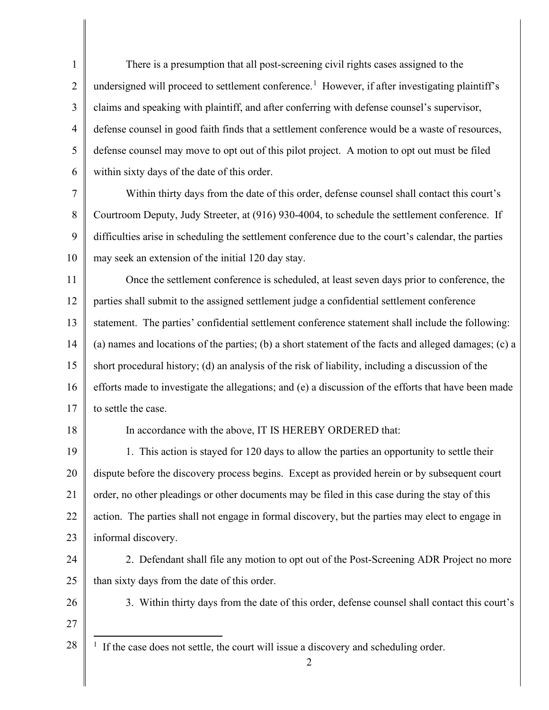1 2 3 4 5 6 7 There is a presumption that all post-screening civil rights cases assigned to the undersigned will proceed to settlement conference.<sup>[1](#page-1-0)</sup> However, if after investigating plaintiff's claims and speaking with plaintiff, and after conferring with defense counsel's supervisor, defense counsel in good faith finds that a settlement conference would be a waste of resources, defense counsel may move to opt out of this pilot project. A motion to opt out must be filed within sixty days of the date of this order. Within thirty days from the date of this order, defense counsel shall contact this court's

8 9 10 Courtroom Deputy, Judy Streeter, at (916) 930-4004, to schedule the settlement conference. If difficulties arise in scheduling the settlement conference due to the court's calendar, the parties may seek an extension of the initial 120 day stay.

11 12 13 14 15 16 17 Once the settlement conference is scheduled, at least seven days prior to conference, the parties shall submit to the assigned settlement judge a confidential settlement conference statement. The parties' confidential settlement conference statement shall include the following: (a) names and locations of the parties; (b) a short statement of the facts and alleged damages; (c) a short procedural history; (d) an analysis of the risk of liability, including a discussion of the efforts made to investigate the allegations; and (e) a discussion of the efforts that have been made to settle the case.

18

## In accordance with the above, IT IS HEREBY ORDERED that:

19 20 21 22 23 1. This action is stayed for 120 days to allow the parties an opportunity to settle their dispute before the discovery process begins. Except as provided herein or by subsequent court order, no other pleadings or other documents may be filed in this case during the stay of this action. The parties shall not engage in formal discovery, but the parties may elect to engage in informal discovery.

24 25

 2. Defendant shall file any motion to opt out of the Post-Screening ADR Project no more than sixty days from the date of this order.

26 27 3. Within thirty days from the date of this order, defense counsel shall contact this court's

<span id="page-1-0"></span>28 <sup>1</sup> If the case does not settle, the court will issue a discovery and scheduling order.